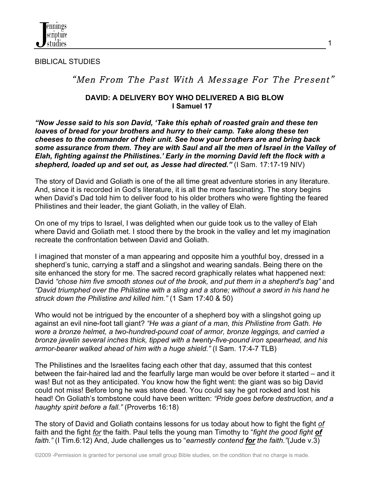

BIBLICAL STUDIES

# "Men From The Past With A Message For The Present"

#### **DAVID: A DELIVERY BOY WHO DELIVERED A BIG BLOW I Samuel 17**

*"Now Jesse said to his son David, 'Take this ephah of roasted grain and these ten loaves of bread for your brothers and hurry to their camp. Take along these ten cheeses to the commander of their unit. See how your brothers are and bring back some assurance from them. They are with Saul and all the men of Israel in the Valley of Elah, fighting against the Philistines.' Early in the morning David left the flock with a shepherd, loaded up and set out, as Jesse had directed."* (I Sam. 17:17-19 NIV)

The story of David and Goliath is one of the all time great adventure stories in any literature. And, since it is recorded in God's literature, it is all the more fascinating. The story begins when David's Dad told him to deliver food to his older brothers who were fighting the feared Philistines and their leader, the giant Goliath, in the valley of Elah.

On one of my trips to Israel, I was delighted when our guide took us to the valley of Elah where David and Goliath met. I stood there by the brook in the valley and let my imagination recreate the confrontation between David and Goliath.

I imagined that monster of a man appearing and opposite him a youthful boy, dressed in a shepherd's tunic, carrying a staff and a slingshot and wearing sandals. Being there on the site enhanced the story for me. The sacred record graphically relates what happened next: David *"chose him five smooth stones out of the brook, and put them in a shepherd's bag"* and *"David triumphed over the Philistine with a sling and a stone; without a sword in his hand he struck down the Philistine and killed him."* (1 Sam 17:40 & 50)

Who would not be intrigued by the encounter of a shepherd boy with a slingshot going up against an evil nine-foot tall giant? *"He was a giant of a man, this Philistine from Gath. He wore a bronze helmet, a two-hundred-pound coat of armor, bronze leggings, and carried a bronze javelin several inches thick, tipped with a twenty-five-pound iron spearhead, and his armor-bearer walked ahead of him with a huge shield."* (I Sam. 17:4-7 TLB)

The Philistines and the Israelites facing each other that day, assumed that this contest between the fair-haired lad and the fearfully large man would be over before it started – and it was! But not as they anticipated. You know how the fight went: the giant was so big David could not miss! Before long he was stone dead. You could say he got rocked and lost his head! On Goliath's tombstone could have been written: *"Pride goes before destruction, and a haughty spirit before a fall."* (Proverbs 16:18)

The story of David and Goliath contains lessons for us today about how to fight the fight *of* faith and the fight *for* the faith. Paul tells the young man Timothy to "*fight the good fight of faith."* (I Tim.6:12) And, Jude challenges us to "*earnestly contend for the faith."*(Jude v.3)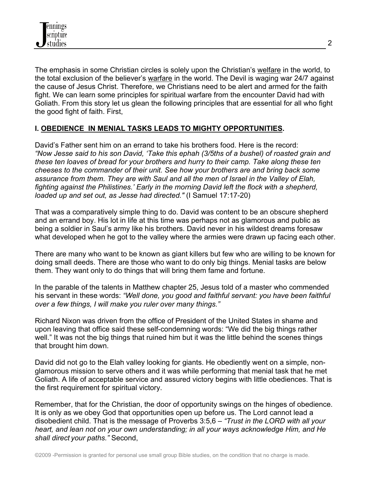The emphasis in some Christian circles is solely upon the Christian's welfare in the world, to the total exclusion of the believer's warfare in the world. The Devil is waging war 24/7 against the cause of Jesus Christ. Therefore, we Christians need to be alert and armed for the faith fight. We can learn some principles for spiritual warfare from the encounter David had with Goliath. From this story let us glean the following principles that are essential for all who fight the good fight of faith. First,

## **I. OBEDIENCE IN MENIAL TASKS LEADS TO MIGHTY OPPORTUNITIES.**

David's Father sent him on an errand to take his brothers food. Here is the record: *"Now Jesse said to his son David, 'Take this ephah (3/5ths of a bushel) of roasted grain and these ten loaves of bread for your brothers and hurry to their camp. Take along these ten cheeses to the commander of their unit. See how your brothers are and bring back some assurance from them. They are with Saul and all the men of Israel in the Valley of Elah, fighting against the Philistines.' Early in the morning David left the flock with a shepherd, loaded up and set out, as Jesse had directed."* (I Samuel 17:17-20)

That was a comparatively simple thing to do. David was content to be an obscure shepherd and an errand boy. His lot in life at this time was perhaps not as glamorous and public as being a soldier in Saul's army like his brothers. David never in his wildest dreams foresaw what developed when he got to the valley where the armies were drawn up facing each other.

There are many who want to be known as giant killers but few who are willing to be known for doing small deeds. There are those who want to do only big things. Menial tasks are below them. They want only to do things that will bring them fame and fortune.

In the parable of the talents in Matthew chapter 25, Jesus told of a master who commended his servant in these words: *"Well done, you good and faithful servant: you have been faithful over a few things, I will make you ruler over many things."*

Richard Nixon was driven from the office of President of the United States in shame and upon leaving that office said these self-condemning words: "We did the big things rather well." It was not the big things that ruined him but it was the little behind the scenes things that brought him down.

David did not go to the Elah valley looking for giants. He obediently went on a simple, nonglamorous mission to serve others and it was while performing that menial task that he met Goliath. A life of acceptable service and assured victory begins with little obediences. That is the first requirement for spiritual victory.

Remember, that for the Christian, the door of opportunity swings on the hinges of obedience. It is only as we obey God that opportunities open up before us. The Lord cannot lead a disobedient child. That is the message of Proverbs 3:5,6 – *"Trust in the LORD with all your heart, and lean not on your own understanding; in all your ways acknowledge Him, and He shall direct your paths."* Second,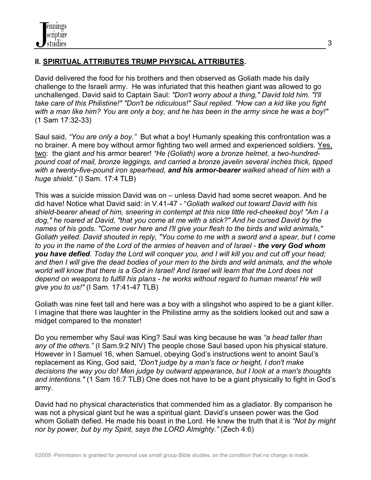# **II. SPIRITUAL ATTRIBUTES TRUMP PHYSICAL ATTRIBUTES.**

David delivered the food for his brothers and then observed as Goliath made his daily challenge to the Israeli army. He was infuriated that this heathen giant was allowed to go unchallenged. David said to Captain Saul: *"Don't worry about a thing," David told him. "I'll take care of this Philistine!" "Don't be ridiculous!" Saul replied. "How can a kid like you fight with a man like him? You are only a boy, and he has been in the army since he was a boy!"*  (1 Sam 17:32-33)

Saul said, *"You are only a boy."* But what a boy! Humanly speaking this confrontation was a no brainer. A mere boy without armor fighting two well armed and experienced soldiers. Yes, two: the giant *and* his armor bearer! *"He (Goliath) wore a bronze helmet, a two-hundredpound coat of mail, bronze leggings, and carried a bronze javelin several inches thick, tipped with a twenty-five-pound iron spearhead, and his armor-bearer walked ahead of him with a huge shield."* (I Sam. 17:4 TLB)

This was a suicide mission David was on – unless David had some secret weapon. And he did have! Notice what David said: in V.41-47 - "*Goliath walked out toward David with his shield-bearer ahead of him, sneering in contempt at this nice little red-cheeked boy! "Am I a dog," he roared at David, "that you come at me with a stick?" And he cursed David by the names of his gods. "Come over here and I'll give your flesh to the birds and wild animals," Goliath yelled. David shouted in reply, "You come to me with a sword and a spear, but I come to you in the name of the Lord of the armies of heaven and of Israel - the very God whom you have defied. Today the Lord will conquer you, and I will kill you and cut off your head; and then I will give the dead bodies of your men to the birds and wild animals, and the whole world will know that there is a God in Israel! And Israel will learn that the Lord does not depend on weapons to fulfill his plans - he works without regard to human means! He will give you to us!"* (I Sam. 17:41-47 TLB)

Goliath was nine feet tall and here was a boy with a slingshot who aspired to be a giant killer. I imagine that there was laughter in the Philistine army as the soldiers looked out and saw a midget compared to the monster!

Do you remember why Saul was King? Saul was king because he was *"a head taller than any of the others."* (I Sam.9:2 NIV) The people chose Saul based upon his physical stature. However in I Samuel 16, when Samuel, obeying God's instructions went to anoint Saul's replacement as King, God said, *"Don't judge by a man's face or height, I don't make decisions the way you do! Men judge by outward appearance, but I look at a man's thoughts and intentions."* (1 Sam 16:7 TLB) One does not have to be a giant physically to fight in God's army.

David had no physical characteristics that commended him as a gladiator. By comparison he was not a physical giant but he was a spiritual giant. David's unseen power was the God whom Goliath defied. He made his boast in the Lord. He knew the truth that it is *"Not by might nor by power, but by my Spirit, says the LORD Almighty."* (Zech 4:6)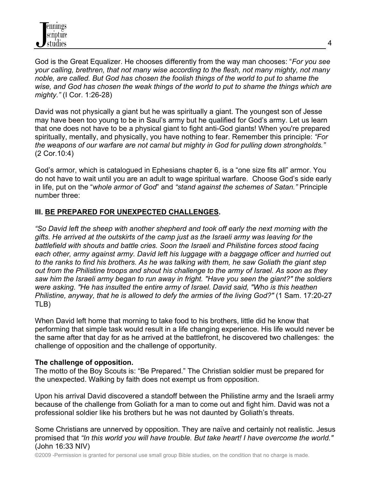God is the Great Equalizer. He chooses differently from the way man chooses: "*For you see your calling, brethren, that not many wise according to the flesh, not many mighty, not many noble, are called. But God has chosen the foolish things of the world to put to shame the wise, and God has chosen the weak things of the world to put to shame the things which are mighty."* (I Cor. 1:26-28)

David was not physically a giant but he was spiritually a giant. The youngest son of Jesse may have been too young to be in Saul's army but he qualified for God's army. Let us learn that one does not have to be a physical giant to fight anti-God giants! When you're prepared spiritually, mentally, and physically, you have nothing to fear. Remember this principle: *"For the weapons of our warfare are not carnal but mighty in God for pulling down strongholds."* (2 Cor.10:4)

God's armor, which is catalogued in Ephesians chapter 6, is a "one size fits all" armor. You do not have to wait until you are an adult to wage spiritual warfare. Choose God's side early in life, put on the "*whole armor of God*" and *"stand against the schemes of Satan."* Principle number three:

## **III. BE PREPARED FOR UNEXPECTED CHALLENGES.**

*"So David left the sheep with another shepherd and took off early the next morning with the gifts. He arrived at the outskirts of the camp just as the Israeli army was leaving for the battlefield with shouts and battle cries. Soon the Israeli and Philistine forces stood facing each other, army against army. David left his luggage with a baggage officer and hurried out to the ranks to find his brothers. As he was talking with them, he saw Goliath the giant step out from the Philistine troops and shout his challenge to the army of Israel. As soon as they saw him the Israeli army began to run away in fright. "Have you seen the giant?" the soldiers were asking. "He has insulted the entire army of Israel. David said, "Who is this heathen Philistine, anyway, that he is allowed to defy the armies of the living God?" (1 Sam. 17:20-27* TLB)

When David left home that morning to take food to his brothers, little did he know that performing that simple task would result in a life changing experience. His life would never be the same after that day for as he arrived at the battlefront, he discovered two challenges: the challenge of opposition and the challenge of opportunity.

### **The challenge of opposition.**

The motto of the Boy Scouts is: "Be Prepared." The Christian soldier must be prepared for the unexpected. Walking by faith does not exempt us from opposition.

Upon his arrival David discovered a standoff between the Philistine army and the Israeli army because of the challenge from Goliath for a man to come out and fight him. David was not a professional soldier like his brothers but he was not daunted by Goliath's threats.

Some Christians are unnerved by opposition. They are naïve and certainly not realistic. Jesus promised that *"In this world you will have trouble. But take heart! I have overcome the world."* (John 16:33 NIV)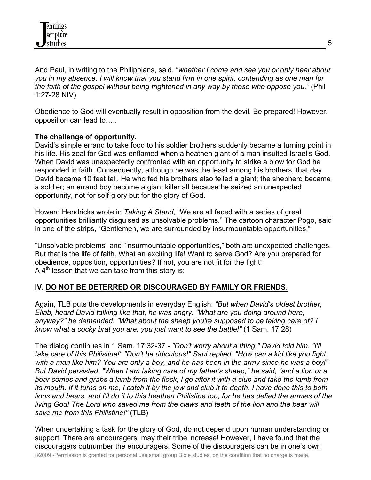

And Paul, in writing to the Philippians, said, "*whether I come and see you or only hear about you in my absence, I will know that you stand firm in one spirit, contending as one man for the faith of the gospel without being frightened in any way by those who oppose you."* (Phil 1:27-28 NIV)

Obedience to God will eventually result in opposition from the devil. Be prepared! However, opposition can lead to…..

#### **The challenge of opportunity.**

David's simple errand to take food to his soldier brothers suddenly became a turning point in his life. His zeal for God was enflamed when a heathen giant of a man insulted Israel's God. When David was unexpectedly confronted with an opportunity to strike a blow for God he responded in faith. Consequently, although he was the least among his brothers, that day David became 10 feet tall. He who fed his brothers also felled a giant; the shepherd became a soldier; an errand boy become a giant killer all because he seized an unexpected opportunity, not for self-glory but for the glory of God.

Howard Hendricks wrote in *Taking A Stand,* "We are all faced with a series of great opportunities brilliantly disguised as unsolvable problems." The cartoon character Pogo, said in one of the strips, "Gentlemen, we are surrounded by insurmountable opportunities."

"Unsolvable problems" and "insurmountable opportunities," both are unexpected challenges. But that is the life of faith. What an exciting life! Want to serve God? Are you prepared for obedience, opposition, opportunities? If not, you are not fit for the fight! A  $4<sup>th</sup>$  lesson that we can take from this story is:

### **IV. DO NOT BE DETERRED OR DISCOURAGED BY FAMILY OR FRIENDS**.

Again, TLB puts the developments in everyday English: *"But when David's oldest brother, Eliab, heard David talking like that, he was angry. "What are you doing around here, anyway?" he demanded. "What about the sheep you're supposed to be taking care of? I know what a cocky brat you are; you just want to see the battle!"* (1 Sam. 17:28)

The dialog continues in 1 Sam. 17:32-37 - *"Don't worry about a thing," David told him. "I'll take care of this Philistine!" "Don't be ridiculous!" Saul replied. "How can a kid like you fight with a man like him? You are only a boy, and he has been in the army since he was a boy!" But David persisted. "When I am taking care of my father's sheep," he said, "and a lion or a bear comes and grabs a lamb from the flock, I go after it with a club and take the lamb from its mouth. If it turns on me, I catch it by the jaw and club it to death. I have done this to both lions and bears, and I'll do it to this heathen Philistine too, for he has defied the armies of the living God! The Lord who saved me from the claws and teeth of the lion and the bear will save me from this Philistine!"* (TLB)

When undertaking a task for the glory of God, do not depend upon human understanding or support. There are encouragers, may their tribe increase! However, I have found that the discouragers outnumber the encouragers. Some of the discouragers can be in one's own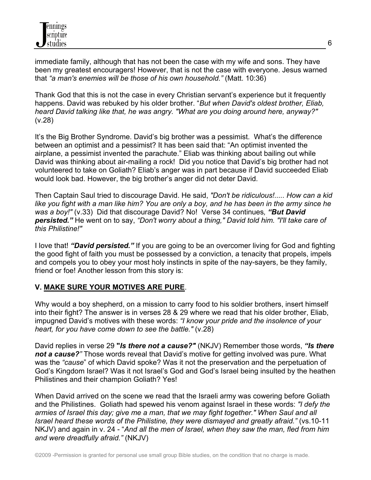immediate family, although that has not been the case with my wife and sons. They have been my greatest encouragers! However, that is not the case with everyone. Jesus warned that *"a man's enemies will be those of his own household."* (Matt. 10:36)

Thank God that this is not the case in every Christian servant's experience but it frequently happens. David was rebuked by his older brother. "*But when David's oldest brother, Eliab, heard David talking like that, he was angry. "What are you doing around here, anyway?"* (v.28)

It's the Big Brother Syndrome. David's big brother was a pessimist. What's the difference between an optimist and a pessimist? It has been said that: "An optimist invented the airplane, a pessimist invented the parachute." Eliab was thinking about bailing out while David was thinking about air-mailing a rock! Did you notice that David's big brother had not volunteered to take on Goliath? Eliab's anger was in part because if David succeeded Eliab would look bad. However, the big brother's anger did not deter David.

Then Captain Saul tried to discourage David. He said, *"Don't be ridiculous!..... How can a kid like you fight with a man like him? You are only a boy, and he has been in the army since he was a boy!"* (v.33)Did that discourage David? No!Verse 34 continues*, "But David persisted."* He went on to say, *"Don't worry about a thing," David told him. "I'll take care of this Philistine!"* 

I love that! *"David persisted."* If you are going to be an overcomer living for God and fighting the good fight of faith you must be possessed by a conviction, a tenacity that propels, impels and compels you to obey your most holy instincts in spite of the nay-sayers, be they family, friend or foe! Another lesson from this story is:

# **V. MAKE SURE YOUR MOTIVES ARE PURE**.

Why would a boy shepherd, on a mission to carry food to his soldier brothers, insert himself into their fight? The answer is in verses 28 & 29 where we read that his older brother, Eliab, impugned David's motives with these words: *"I know your pride and the insolence of your heart, for you have come down to see the battle."* (v.28)

David replies in verse 29 **"***Is there not a cause?"* (NKJV) Remember those words, *"Is there not a cause?"* Those words reveal that David's motive for getting involved was pure. What was the *"cause*" of which David spoke? Was it not the preservation and the perpetuation of God's Kingdom Israel? Was it not Israel's God and God's Israel being insulted by the heathen Philistines and their champion Goliath? Yes!

When David arrived on the scene we read that the Israeli army was cowering before Goliath and the Philistines. Goliath had spewed his venom against Israel in these words: *"I defy the armies of Israel this day; give me a man, that we may fight together." When Saul and all Israel heard these words of the Philistine, they were dismayed and greatly afraid."* (vs.10-11 NKJV) and again in v. 24 - "*And all the men of Israel, when they saw the man, fled from him and were dreadfully afraid."* (NKJV)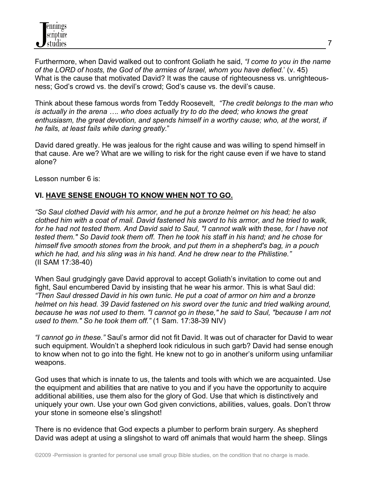Furthermore, when David walked out to confront Goliath he said, *"I come to you in the name of the LORD of hosts, the God of the armies of Israel, whom you have defied.*' (v. 45) What is the cause that motivated David? It was the cause of righteousness vs. unrighteousness; God's crowd vs. the devil's crowd; God's cause vs. the devil's cause.

Think about these famous words from Teddy Roosevelt, *"The credit belongs to the man who is actually in the arena …. who does actually try to do the deed; who knows the great enthusiasm, the great devotion, and spends himself in a worthy cause; who, at the worst, if he fails, at least fails while daring greatly.*"

David dared greatly. He was jealous for the right cause and was willing to spend himself in that cause. Are we? What are we willing to risk for the right cause even if we have to stand alone?

Lesson number 6 is:

### **VI. HAVE SENSE ENOUGH TO KNOW WHEN NOT TO GO.**

*"So Saul clothed David with his armor, and he put a bronze helmet on his head; he also clothed him with a coat of mail. David fastened his sword to his armor, and he tried to walk, for he had not tested them. And David said to Saul, "I cannot walk with these, for I have not tested them." So David took them off. Then he took his staff in his hand; and he chose for himself five smooth stones from the brook, and put them in a shepherd's bag, in a pouch which he had, and his sling was in his hand. And he drew near to the Philistine."* (II SAM 17:38-40)

When Saul grudgingly gave David approval to accept Goliath's invitation to come out and fight, Saul encumbered David by insisting that he wear his armor. This is what Saul did: *"Then Saul dressed David in his own tunic. He put a coat of armor on him and a bronze helmet on his head. 39 David fastened on his sword over the tunic and tried walking around, because he was not used to them. "I cannot go in these," he said to Saul, "because I am not used to them." So he took them off."* (1 Sam. 17:38-39 NIV)

*"I cannot go in these."* Saul's armor did not fit David. It was out of character for David to wear such equipment. Wouldn't a shepherd look ridiculous in such garb? David had sense enough to know when not to go into the fight. He knew not to go in another's uniform using unfamiliar weapons.

God uses that which is innate to us, the talents and tools with which we are acquainted. Use the equipment and abilities that are native to you and if you have the opportunity to acquire additional abilities, use them also for the glory of God. Use that which is distinctively and uniquely your own. Use your own God given convictions, abilities, values, goals. Don't throw your stone in someone else's slingshot!

There is no evidence that God expects a plumber to perform brain surgery. As shepherd David was adept at using a slingshot to ward off animals that would harm the sheep. Slings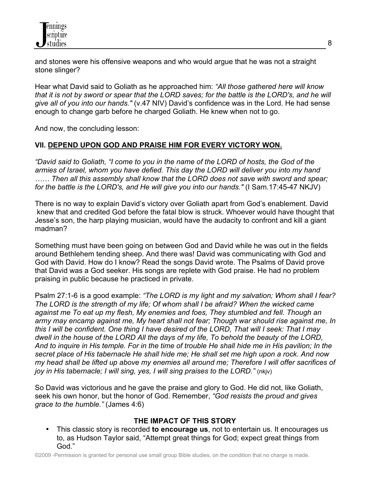and stones were his offensive weapons and who would argue that he was not a straight stone slinger?

Hear what David said to Goliath as he approached him: *"All those gathered here will know that it is not by sword or spear that the LORD saves; for the battle is the LORD's, and he will give all of you into our hands."* (v.47 NIV) David's confidence was in the Lord. He had sense enough to change garb before he charged Goliath. He knew when not to go.

And now, the concluding lesson:

## **VII. DEPEND UPON GOD AND PRAISE HIM FOR EVERY VICTORY WON.**

*"David said to Goliath, "I come to you in the name of the LORD of hosts, the God of the armies of Israel, whom you have defied. This day the LORD will deliver you into my hand …… Then all this assembly shall know that the LORD does not save with sword and spear; for the battle is the LORD's, and He will give you into our hands."* (I Sam.17:45-47 NKJV)

There is no way to explain David's victory over Goliath apart from God's enablement. David knew that and credited God before the fatal blow is struck. Whoever would have thought that Jesse's son, the harp playing musician, would have the audacity to confront and kill a giant madman?

Something must have been going on between God and David while he was out in the fields around Bethlehem tending sheep. And there was! David was communicating with God and God with David. How do I know? Read the songs David wrote. The Psalms of David prove that David was a God seeker. His songs are replete with God praise. He had no problem praising in public because he practiced in private.

Psalm 27:1-6 is a good example: *"The LORD is my light and my salvation; Whom shall I fear? The LORD is the strength of my life; Of whom shall I be afraid? When the wicked came against me To eat up my flesh, My enemies and foes, They stumbled and fell. Though an army may encamp against me, My heart shall not fear; Though war should rise against me, In this I will be confident. One thing I have desired of the LORD, That will I seek: That I may dwell in the house of the LORD All the days of my life, To behold the beauty of the LORD, And to inquire in His temple. For in the time of trouble He shall hide me in His pavilion; In the secret place of His tabernacle He shall hide me; He shall set me high upon a rock. And now my head shall be lifted up above my enemies all around me; Therefore I will offer sacrifices of joy in His tabernacle; I will sing, yes, I will sing praises to the LORD."* (nkjv)

So David was victorious and he gave the praise and glory to God. He did not, like Goliath, seek his own honor, but the honor of God. Remember, *"God resists the proud and gives grace to the humble."* (James 4:6)

# **THE IMPACT OF THIS STORY**

• This classic story is recorded **to encourage us**, not to entertain us. It encourages us to, as Hudson Taylor said, "Attempt great things for God; expect great things from God."